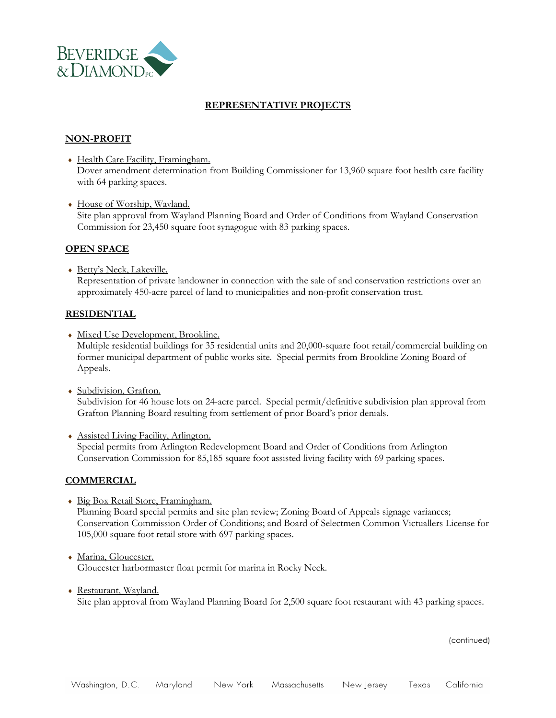

## **REPRESENTATIVE PROJECTS**

# **NON-PROFIT**

- Health Care Facility, Framingham. Dover amendment determination from Building Commissioner for 13,960 square foot health care facility with 64 parking spaces.
- House of Worship, Wayland. Site plan approval from Wayland Planning Board and Order of Conditions from Wayland Conservation Commission for 23,450 square foot synagogue with 83 parking spaces.

## **OPEN SPACE**

 Betty's Neck, Lakeville. Representation of private landowner in connection with the sale of and conservation restrictions over an approximately 450-acre parcel of land to municipalities and non-profit conservation trust.

#### **RESIDENTIAL**

- Mixed Use Development, Brookline. Multiple residential buildings for 35 residential units and 20,000-square foot retail/commercial building on former municipal department of public works site. Special permits from Brookline Zoning Board of Appeals.
- Subdivision, Grafton. Subdivision for 46 house lots on 24-acre parcel. Special permit/definitive subdivision plan approval from Grafton Planning Board resulting from settlement of prior Board's prior denials.
- Assisted Living Facility, Arlington. Special permits from Arlington Redevelopment Board and Order of Conditions from Arlington Conservation Commission for 85,185 square foot assisted living facility with 69 parking spaces.

#### **COMMERCIAL**

- Big Box Retail Store, Framingham. Planning Board special permits and site plan review; Zoning Board of Appeals signage variances; Conservation Commission Order of Conditions; and Board of Selectmen Common Victuallers License for 105,000 square foot retail store with 697 parking spaces.
- Marina, Gloucester. Gloucester harbormaster float permit for marina in Rocky Neck.
- Restaurant, Wayland. Site plan approval from Wayland Planning Board for 2,500 square foot restaurant with 43 parking spaces.

(continued)